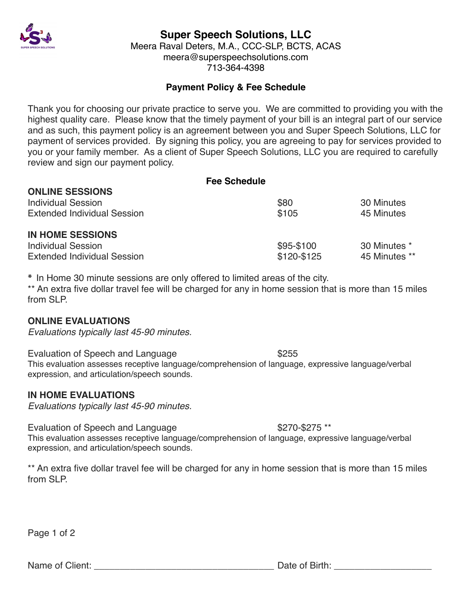

# **Super Speech Solutions, LLC**

Meera Raval Deters, M.A., CCC-SLP, BCTS, ACAS meera@superspeechsolutions.com 713-364-4398

## **Payment Policy & Fee Schedule**

Thank you for choosing our private practice to serve you. We are committed to providing you with the highest quality care. Please know that the timely payment of your bill is an integral part of our service and as such, this payment policy is an agreement between you and Super Speech Solutions, LLC for payment of services provided. By signing this policy, you are agreeing to pay for services provided to you or your family member. As a client of Super Speech Solutions, LLC you are required to carefully review and sign our payment policy.

| <b>Fee Schedule</b>                                             |                           |                               |
|-----------------------------------------------------------------|---------------------------|-------------------------------|
| <b>ONLINE SESSIONS</b><br><b>Individual Session</b>             | \$80                      | 30 Minutes                    |
| <b>Extended Individual Session</b>                              | \$105                     | 45 Minutes                    |
| <b>IN HOME SESSIONS</b>                                         |                           |                               |
| <b>Individual Session</b><br><b>Extended Individual Session</b> | \$95-\$100<br>\$120-\$125 | 30 Minutes *<br>45 Minutes ** |

**\*** In Home 30 minute sessions are only offered to limited areas of the city.

\*\* An extra five dollar travel fee will be charged for any in home session that is more than 15 miles from SLP

### **ONLINE EVALUATIONS**

*Evaluations typically last 45-90 minutes.*

Evaluation of Speech and Language **\$255** This evaluation assesses receptive language/comprehension of language, expressive language/verbal expression, and articulation/speech sounds.

### **IN HOME EVALUATIONS**

*Evaluations typically last 45-90 minutes.*

Evaluation of Speech and Language  $$270-$275**$ This evaluation assesses receptive language/comprehension of language, expressive language/verbal expression, and articulation/speech sounds.

\*\* An extra five dollar travel fee will be charged for any in home session that is more than 15 miles from SLP.

Page 1 of 2

Name of Client: <br>
Name of Client: 
and the contract of Birth: 
and the contract of Birth: